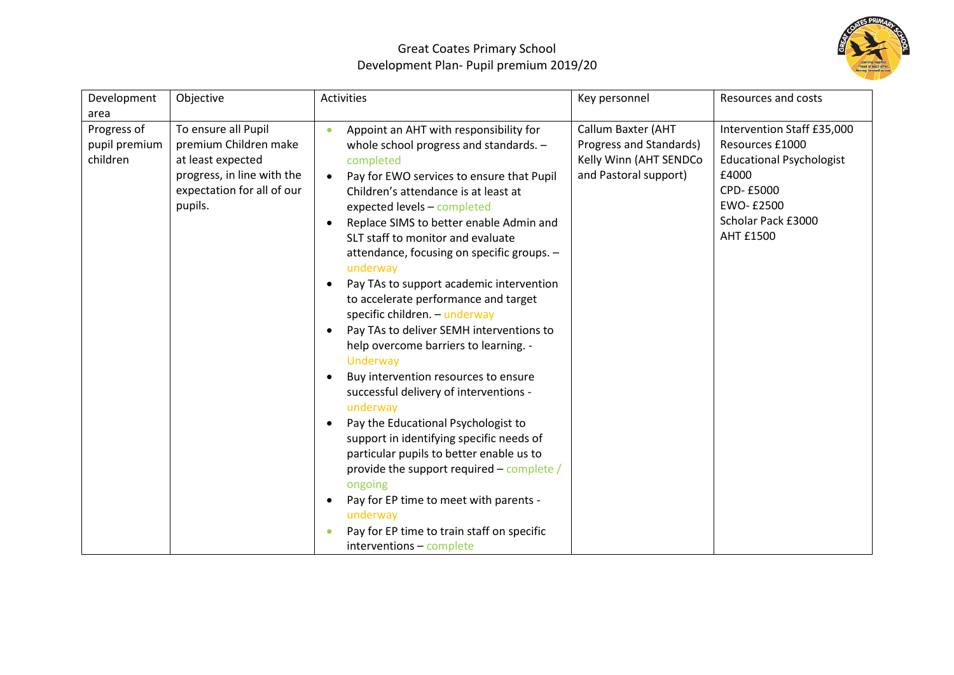

## Great Coates Primary School Development Plan- Pupil premium 2019/20

| Development                              | Objective                                                                                                                                | Activities                                                                                                                                                                                                                                                                                                                                                                                                                                                                                                                                                                                                                                                                                                                                                                                                                                                                                                                                                                                                                                                              | Key personnel                                                                                    | <b>Resources and costs</b>                                                                                                                                    |
|------------------------------------------|------------------------------------------------------------------------------------------------------------------------------------------|-------------------------------------------------------------------------------------------------------------------------------------------------------------------------------------------------------------------------------------------------------------------------------------------------------------------------------------------------------------------------------------------------------------------------------------------------------------------------------------------------------------------------------------------------------------------------------------------------------------------------------------------------------------------------------------------------------------------------------------------------------------------------------------------------------------------------------------------------------------------------------------------------------------------------------------------------------------------------------------------------------------------------------------------------------------------------|--------------------------------------------------------------------------------------------------|---------------------------------------------------------------------------------------------------------------------------------------------------------------|
| area                                     |                                                                                                                                          |                                                                                                                                                                                                                                                                                                                                                                                                                                                                                                                                                                                                                                                                                                                                                                                                                                                                                                                                                                                                                                                                         |                                                                                                  |                                                                                                                                                               |
| Progress of<br>pupil premium<br>children | To ensure all Pupil<br>premium Children make<br>at least expected<br>progress, in line with the<br>expectation for all of our<br>pupils. | Appoint an AHT with responsibility for<br>$\bullet$<br>whole school progress and standards. -<br>completed<br>Pay for EWO services to ensure that Pupil<br>Children's attendance is at least at<br>expected levels - completed<br>Replace SIMS to better enable Admin and<br>SLT staff to monitor and evaluate<br>attendance, focusing on specific groups. -<br>underway<br>Pay TAs to support academic intervention<br>to accelerate performance and target<br>specific children. - underway<br>Pay TAs to deliver SEMH interventions to<br>$\bullet$<br>help overcome barriers to learning. -<br>Underway<br>Buy intervention resources to ensure<br>$\bullet$<br>successful delivery of interventions -<br>underway<br>Pay the Educational Psychologist to<br>$\bullet$<br>support in identifying specific needs of<br>particular pupils to better enable us to<br>provide the support required - complete /<br>ongoing<br>Pay for EP time to meet with parents -<br>$\bullet$<br>underway<br>Pay for EP time to train staff on specific<br>interventions - complete | Callum Baxter (AHT<br>Progress and Standards)<br>Kelly Winn (AHT SENDCo<br>and Pastoral support) | Intervention Staff £35,000<br>Resources £1000<br><b>Educational Psychologist</b><br>£4000<br>CPD-£5000<br>EWO-£2500<br>Scholar Pack £3000<br><b>AHT £1500</b> |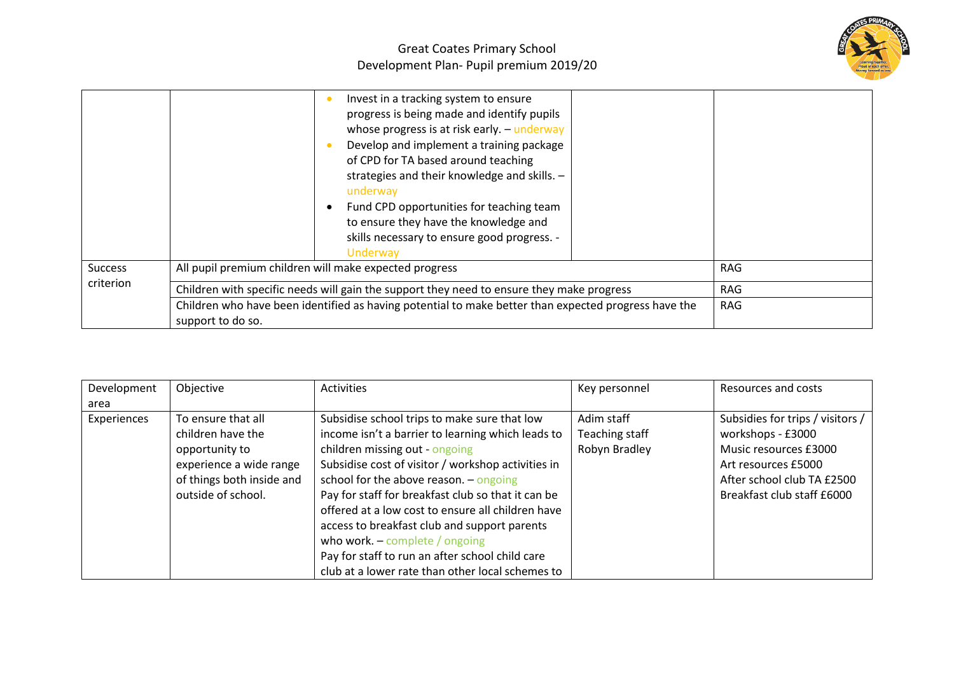

|                             | Invest in a tracking system to ensure<br>progress is being made and identify pupils<br>whose progress is at risk early. - underway<br>Develop and implement a training package<br>of CPD for TA based around teaching<br>strategies and their knowledge and skills. -<br>underway<br>Fund CPD opportunities for teaching team<br>to ensure they have the knowledge and<br>skills necessary to ensure good progress. -<br>Underway |     |
|-----------------------------|-----------------------------------------------------------------------------------------------------------------------------------------------------------------------------------------------------------------------------------------------------------------------------------------------------------------------------------------------------------------------------------------------------------------------------------|-----|
| <b>Success</b><br>criterion | All pupil premium children will make expected progress                                                                                                                                                                                                                                                                                                                                                                            | RAG |
|                             | Children with specific needs will gain the support they need to ensure they make progress                                                                                                                                                                                                                                                                                                                                         | RAG |
|                             | Children who have been identified as having potential to make better than expected progress have the                                                                                                                                                                                                                                                                                                                              | RAG |
|                             | support to do so.                                                                                                                                                                                                                                                                                                                                                                                                                 |     |

| Development | Objective                 | <b>Activities</b>                                  | Key personnel  | Resources and costs              |
|-------------|---------------------------|----------------------------------------------------|----------------|----------------------------------|
| area        |                           |                                                    |                |                                  |
| Experiences | To ensure that all        | Subsidise school trips to make sure that low       | Adim staff     | Subsidies for trips / visitors / |
|             | children have the         | income isn't a barrier to learning which leads to  | Teaching staff | workshops - £3000                |
|             | opportunity to            | children missing out - ongoing                     | Robyn Bradley  | Music resources £3000            |
|             | experience a wide range   | Subsidise cost of visitor / workshop activities in |                | Art resources £5000              |
|             | of things both inside and | school for the above reason. $-$ ongoing           |                | After school club TA £2500       |
|             | outside of school.        | Pay for staff for breakfast club so that it can be |                | Breakfast club staff £6000       |
|             |                           | offered at a low cost to ensure all children have  |                |                                  |
|             |                           | access to breakfast club and support parents       |                |                                  |
|             |                           | who work. $-$ complete / ongoing                   |                |                                  |
|             |                           | Pay for staff to run an after school child care    |                |                                  |
|             |                           | club at a lower rate than other local schemes to   |                |                                  |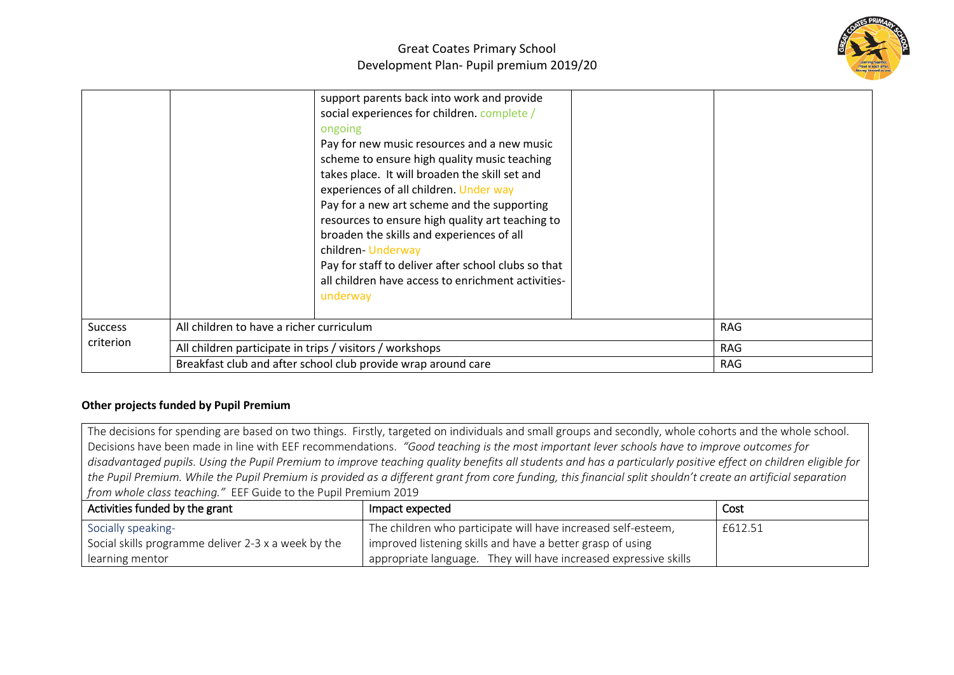

|                             |                                                               | support parents back into work and provide<br>social experiences for children. complete /<br>ongoing<br>Pay for new music resources and a new music<br>scheme to ensure high quality music teaching<br>takes place. It will broaden the skill set and<br>experiences of all children. Under way<br>Pay for a new art scheme and the supporting<br>resources to ensure high quality art teaching to<br>broaden the skills and experiences of all<br>children-Underway<br>Pay for staff to deliver after school clubs so that<br>all children have access to enrichment activities-<br>underway |            |  |
|-----------------------------|---------------------------------------------------------------|-----------------------------------------------------------------------------------------------------------------------------------------------------------------------------------------------------------------------------------------------------------------------------------------------------------------------------------------------------------------------------------------------------------------------------------------------------------------------------------------------------------------------------------------------------------------------------------------------|------------|--|
| <b>Success</b><br>criterion | All children to have a richer curriculum                      |                                                                                                                                                                                                                                                                                                                                                                                                                                                                                                                                                                                               | <b>RAG</b> |  |
|                             | All children participate in trips / visitors / workshops      |                                                                                                                                                                                                                                                                                                                                                                                                                                                                                                                                                                                               | RAG        |  |
|                             | Breakfast club and after school club provide wrap around care |                                                                                                                                                                                                                                                                                                                                                                                                                                                                                                                                                                                               | <b>RAG</b> |  |

## **Other projects funded by Pupil Premium**

The decisions for spending are based on two things. Firstly, targeted on individuals and small groups and secondly, whole cohorts and the whole school. Decisions have been made in line with EEF recommendations. *"Good teaching is the most important lever schools have to improve outcomes for disadvantaged pupils. Using the Pupil Premium to improve teaching quality benefits all students and has a particularly positive effect on children eligible for the Pupil Premium. While the Pupil Premium is provided as a different grant from core funding, this financial split shouldn't create an artificial separation from whole class teaching."* EEF Guide to the Pupil Premium 2019

| Activities funded by the grant                      | Impact expected                                                  | Cost    |
|-----------------------------------------------------|------------------------------------------------------------------|---------|
| Socially speaking-                                  | The children who participate will have increased self-esteem,    | £612.51 |
| Social skills programme deliver 2-3 x a week by the | improved listening skills and have a better grasp of using       |         |
| learning mentor                                     | appropriate language. They will have increased expressive skills |         |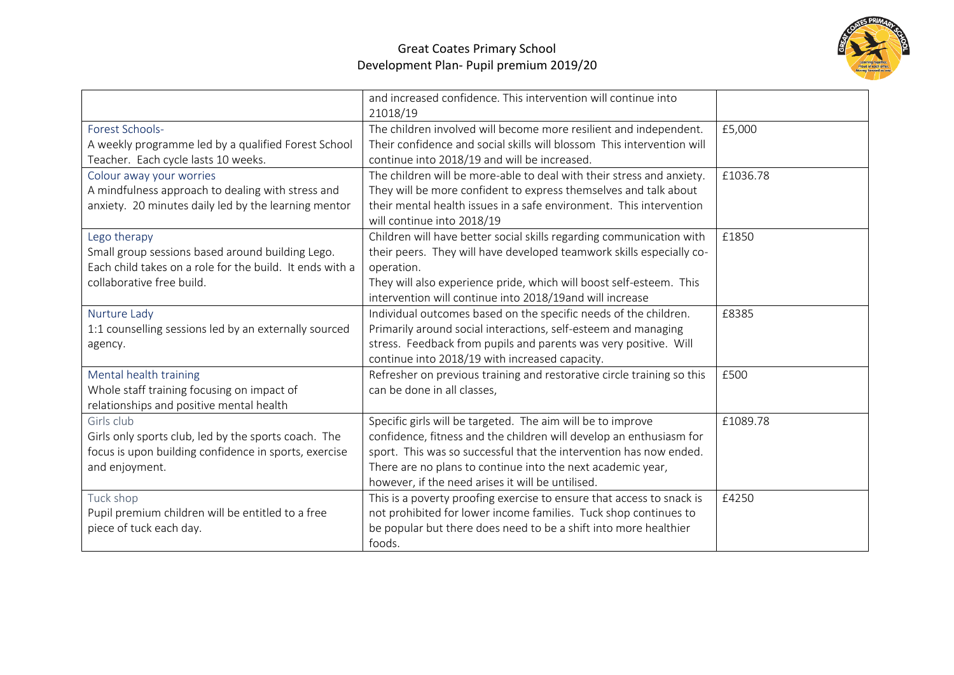

|                                                                                                                                                           | and increased confidence. This intervention will continue into<br>21018/19                                                                                                                                                                                                                                                   |          |
|-----------------------------------------------------------------------------------------------------------------------------------------------------------|------------------------------------------------------------------------------------------------------------------------------------------------------------------------------------------------------------------------------------------------------------------------------------------------------------------------------|----------|
| Forest Schools-<br>A weekly programme led by a qualified Forest School<br>Teacher. Each cycle lasts 10 weeks.                                             | The children involved will become more resilient and independent.<br>Their confidence and social skills will blossom This intervention will<br>continue into 2018/19 and will be increased.                                                                                                                                  | £5,000   |
| Colour away your worries<br>A mindfulness approach to dealing with stress and<br>anxiety. 20 minutes daily led by the learning mentor                     | The children will be more-able to deal with their stress and anxiety.<br>They will be more confident to express themselves and talk about<br>their mental health issues in a safe environment. This intervention<br>will continue into 2018/19                                                                               | £1036.78 |
| Lego therapy<br>Small group sessions based around building Lego.<br>Each child takes on a role for the build. It ends with a<br>collaborative free build. | Children will have better social skills regarding communication with<br>their peers. They will have developed teamwork skills especially co-<br>operation.<br>They will also experience pride, which will boost self-esteem. This<br>intervention will continue into 2018/19and will increase                                | £1850    |
| Nurture Lady<br>1:1 counselling sessions led by an externally sourced<br>agency.                                                                          | Individual outcomes based on the specific needs of the children.<br>Primarily around social interactions, self-esteem and managing<br>stress. Feedback from pupils and parents was very positive. Will<br>continue into 2018/19 with increased capacity.                                                                     | £8385    |
| Mental health training<br>Whole staff training focusing on impact of<br>relationships and positive mental health                                          | Refresher on previous training and restorative circle training so this<br>can be done in all classes,                                                                                                                                                                                                                        | £500     |
| Girls club<br>Girls only sports club, led by the sports coach. The<br>focus is upon building confidence in sports, exercise<br>and enjoyment.             | Specific girls will be targeted. The aim will be to improve<br>confidence, fitness and the children will develop an enthusiasm for<br>sport. This was so successful that the intervention has now ended.<br>There are no plans to continue into the next academic year,<br>however, if the need arises it will be untilised. | £1089.78 |
| Tuck shop<br>Pupil premium children will be entitled to a free<br>piece of tuck each day.                                                                 | This is a poverty proofing exercise to ensure that access to snack is<br>not prohibited for lower income families. Tuck shop continues to<br>be popular but there does need to be a shift into more healthier<br>foods.                                                                                                      | £4250    |